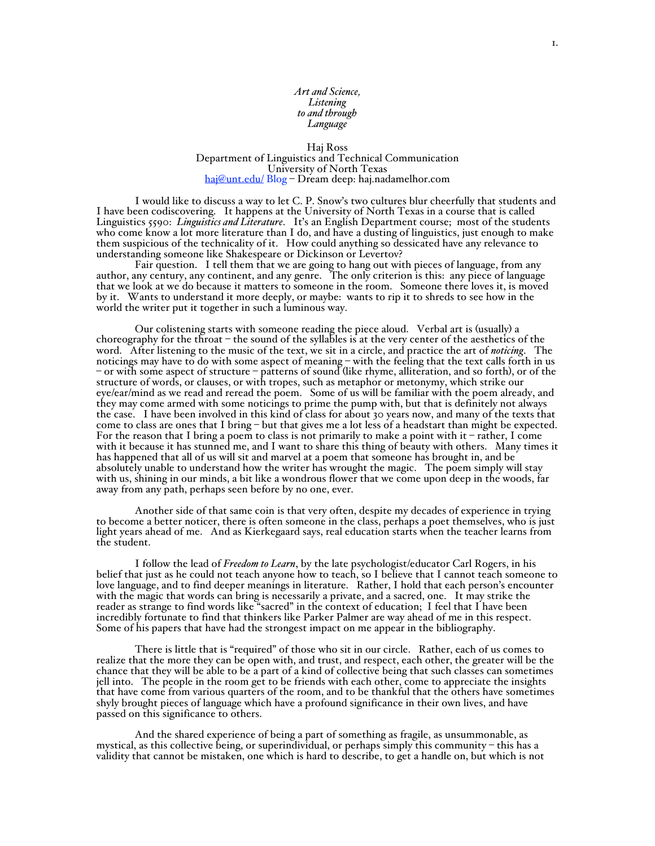# *Art and Science, Listening to and through Language*

## Haj Ross Department of Linguistics and Technical Communication University of North Texas haj@unt.edu/ Blog – Dream deep: haj.nadamelhor.com

I would like to discuss a way to let C. P. Snow's two cultures blur cheerfully that students and I have been codiscovering. It happens at the University of North Texas in a course that is called Linguistics 5590: *Linguistics and Literature*. It's an English Department course; most of the students who come know a lot more literature than I do, and have a dusting of linguistics, just enough to make them suspicious of the technicality of it. How could anything so dessicated have any relevance to understanding someone like Shakespeare or Dickinson or Levertov?

Fair question. I tell them that we are going to hang out with pieces of language, from any author, any century, any continent, and any genre. The only criterion is this: any piece of language that we look at we do because it matters to someone in the room. Someone there loves it, is moved by it. Wants to understand it more deeply, or maybe: wants to rip it to shreds to see how in the world the writer put it together in such <sup>a</sup> luminous way.

Our colistening starts with someone reading the piece aloud. Verbal art is (usually) a choreography for the throat – the sound of the syllables is at the very center of the aesthetics of the word. After listening to the music of the text, we sit in a circle, and practice the art of *noticing*. The noticings may have to do with some aspect of meaning – with the feeling that the text calls forth in us – or with some aspect of structure – patterns of sound (like rhyme, alliteration, and so forth), or of the structure of words, or clauses, or with tropes, such as metaphor or metonymy, which strike our eye/ear/mind as we read and reread the poem. Some of us will be familiar with the poem already, and they may come armed with some noticings to prime the pump with, but that is definitely not always the case. I have been involved in this kind of class for about 30 years now, and many of the texts that come to class are ones that I bring – but that gives me a lot less of a headstart than might be expected. For the reason that I bring a poem to class is not primarily to make a point with it – rather, I come with it because it has stunned me, and I want to share this thing of beauty with others. Many times it has happened that all of us will sit and marvel at a poem that someone has brought in, and be absolutely unable to understand how the writer has wrought the magic. The poem simply will stay with us, shining in our minds, a bit like a wondrous flower that we come upon deep in the woods, far away from any path, perhaps seen before by no one, ever.

Another side of that same coin is that very often, despite my decades of experience in trying to become a better noticer, there is often someone in the class, perhaps a poet themselves, who is just light years ahead of me. And as Kierkegaard says, real education starts when the teacher learns from the student.

I follow the lead of *Freedom to Learn*, by the late psychologist/educator Carl Rogers, in his belief that just as he could not teach anyone how to teach, so I believe that I cannot teach someone to love language, and to find deeper meanings in literature. Rather, I hold that each person's encounter with the magic that words can bring is necessarily a private, and a sacred, one. It may strike the reader as strange to find words like "sacred" in the context of education; I feel that I have been<br>incredibly fortunate to find that thinkers like Parker Palmer are way ahead of me in this respect. Some of his papers that have had the strongest impact on me appear in the bibliography.

There is little that is "required" of those who sit in our circle. Rather, each of us comes to realize that the more they can be open with, and trust, and respect, each other, the greater will be the chance that they will be able to be a part of a kind of collective being that such classes can sometimes jell into. The people in the room get to be friends with each other, come to appreciate the insights that have come from various quarters of the room, and to be thankful that the others have sometimes shyly brought pieces of language which have a profound significance in their own lives, and have passed on this significance to others.

And the shared experience of being a part of something as fragile, as unsummonable, as mystical, as this collective being, or superindividual, or perhaps simply this community – this has a validity that cannot be mistaken, one which is hard to describe, to get a handle on, but which is not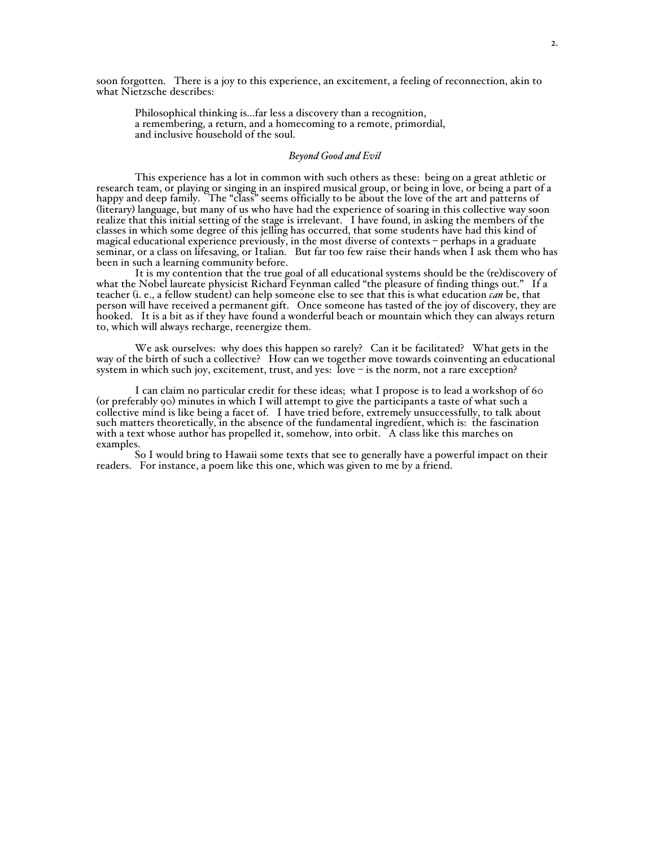soon forgotten. There is a joy to this experience, an excitement, a feeling of reconnection, akin to what Nietzsche describes:

Philosophical thinking is...far less a discovery than a recognition, <sup>a</sup> remembering, <sup>a</sup> return, and <sup>a</sup> homecoming to <sup>a</sup> remote, primordial, and inclusive household of the soul.

#### *Beyond Good and Evil*

This experience has a lot in common with such others as these: being on a great athletic or research team, or playing or singing in an inspired musical group, or being in love, or being a part of a happy and deep family. The "class" seems officially to be about the love of the art and patterns of (literary) language, but many of us who have had the experience of soaring in this collective way soon realize that this initial setting of the stage is irrelevant. I have found, in asking the members of the classes in which some degree of this jelling has occurred, that some students have had this kind of magical educational experience previously, in the most diverse of contexts – perhaps in a graduate seminar, or a class on lifesaving, or Italian. But far too few raise their hands when I ask them who has been in such a learning community before.

It is my contention that the true goal of all educational systems should be the (re)discovery of what the Nobel laureate physicist Richard Feynman called "the pleasure of finding things out." If a teacher (i. e., a fellow student) can help someone else to see that this is what education *can* be, that person will have received a permanent gift. Once someone has tasted of the joy of discovery, they are hooked. It is <sup>a</sup> bit as if they have found <sup>a</sup> wonderful beach or mountain which they can always return to, which will always recharge, reenergize them.

We ask ourselves: why does this happen so rarely? Can it be facilitated? What gets in the way of the birth of such a collective? How can we together move towards coinventing an educational system in which such joy, excitement, trust, and yes: love  $-$  is the norm, not a rare exception?

I can claim no particular credit for these ideas; what I propose is to lead a workshop of 60 (or preferably 90) minutes in which I will attempt to give the participants a taste of what such a collective mind is like being a facet of. I have tried before, extremely unsuccessfully, to talk about such matters theoretically, in the absence of the fundamental ingredient, which is: the fascination with a text whose author has propelled it, somehow, into orbit. A class like this marches on examples.

So I would bring to Hawaii some texts that see to generally have a powerful impact on their readers. For instance, a poem like this one, which was given to me by a friend.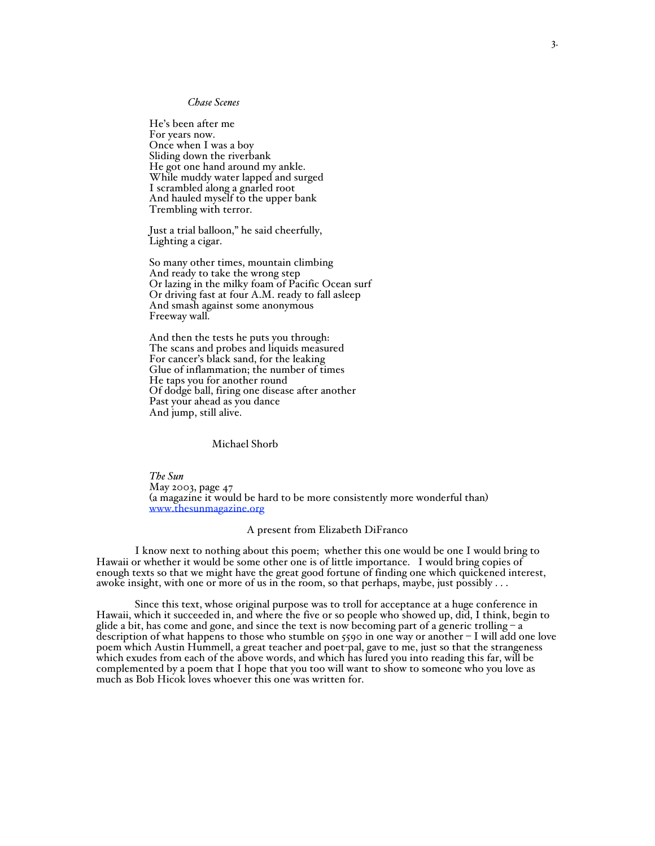# *Chase Scenes*

He's been after me For years now. Once when I was a boy Sliding down the riverbank He got one hand around my ankle. While muddy water lapped and surged I scrambled along a gnarled root And hauled myself to the upper bank Trembling with terror.

Just a trial balloon," he said cheerfully, Lighting a cigar.

So many other times, mountain climbing And ready to take the wrong step Or lazing in the milky foam of Pacific Ocean surf Or driving fast at four A.M. ready to fall asleep And smash against some anonymous Freeway wall.

And then the tests he puts you through: The scans and probes and liquids measured For cancer's black sand, for the leaking Glue of inflammation; the number of times He taps you for another round Of dodge ball, firing one disease after another Past your ahead as you dance And jump, still alive.

## Michael Shorb

*The Sun* May 2003, page 47 (a magazine it would be hard to be more consistently more wonderful than) www.thesunmagazine.org

## A present from Elizabeth DiFranco

I know next to nothing about this poem; whether this one would be one I would bring to Hawaii or whether it would be some other one is of little importance. I would bring copies of enough texts so that we might have the great good fortune of finding one which quickened interest, awoke insight, with one or more of us in the room, so that perhaps, maybe, just possibly . . .

Since this text, whose original purpose was to troll for acceptance at <sup>a</sup> huge conference in Hawaii, which it succeeded in, and where the five or so people who showed up, did, <sup>I</sup> think, begin to glide a bit, has come and gone, and since the text is now becoming part of a generic trolling – a description of what happens to those who stumble on 5590 in one way or another – I will add one love poem which Austin Hummell, a great teacher and poet-pal, gave to me, just so that the strangeness which exudes from each of the above words, and which has lured you into reading this far, will be complemented by <sup>a</sup> poem that <sup>I</sup> hope that you too will want to show to someone who you love as much as Bob Hicok loves whoever this one was written for.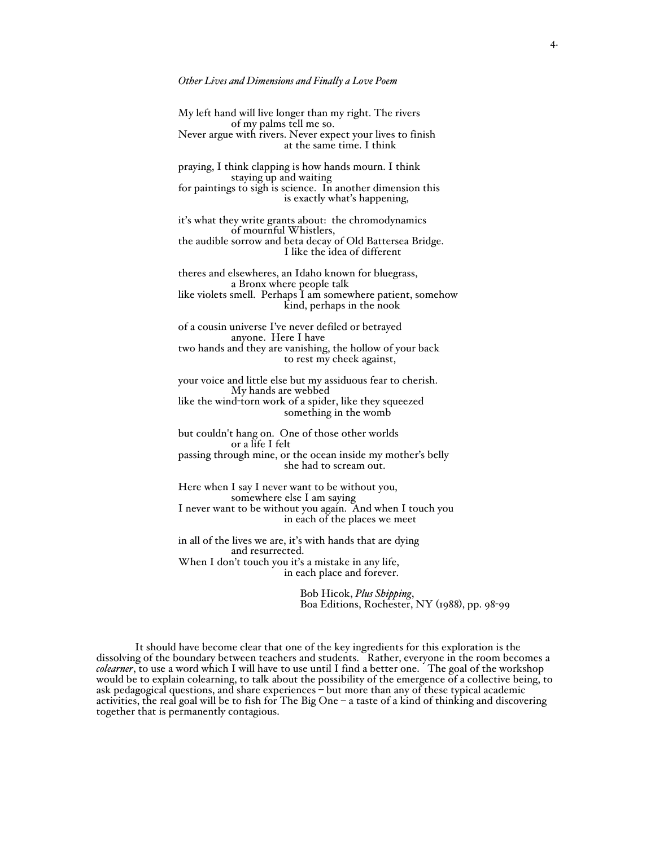## *Other Lives and Dimensions and Finally a Love Poem*

My left hand will live longer than my right. The rivers Never argue with rivers. Never expect your lives to finish at the same time. I think praying, I think clapping is how hands mourn. I think staying up and waiting for paintings to sigh is science. In another dimension this is exactly what's happening, it's what they write grants about: the chromodynamics of mournful Whistlers, the audible sorrow and beta decay of Old Battersea Bridge. I like the idea of different theres and elsewheres, an Idaho known for bluegrass, a Bronx where people talk like violets smell. Perhaps I am somewhere patient, somehow kind, perhaps in the nook of a cousin universe I've never defiled or betrayed anyone. Here I have two hands and they are vanishing, the hollow of your back to rest my cheek against, your voice and little else but my assiduous fear to cherish. My hands are webbed like the wind-torn work of a spider, like they squeezed something in the womb but couldn't hang on. One of those other worlds or a life I felt passing through mine, or the ocean inside my mother's belly she had to scream out. Here when I say I never want to be without you, somewhere else I am saying I never want to be without you again. And when I touch you in each of the places we meet in all of the lives we are, it's with hands that are dying and resurrected. When I don't touch you it's a mistake in any life,

in each place and forever.

Bob Hicok, *Plus Shipping*, Boa Editions, Rochester, NY (1988), pp. 98-99

It should have become clear that one of the key ingredients for this exploration is the dissolving of the boundary between teachers and students. Rather, everyone in the room becomes a *colearner*, to use a word which I will have to use until I find a better one. The goal of the workshop would be to explain colearning, to talk about the possibility of the emergence of a collective being, to ask pedagogical questions, and share experiences – but more than any of these typical academic activities, the real goal will be to fish for The Big One  $-$  a taste of a kind of thinking and discovering together that is permanently contagious.